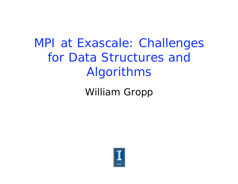## MPI at Exascale: Challenges for Data Structures and Algorithms

#### William Gropp

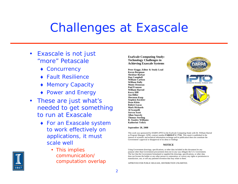#### Challenges at Exascale

- $\bullet$  Exascale is not just "more" Petascale
	- ◆ Concurrency
	- ◆ Fault Resilience
	- ◆ Memory Capacity
	- ◆ Power and Energy
- $\bullet$  These are just what's needed to get something to *run* at Exascale
	- For an Exascale system to work effectively on applications, it must scale well
		- This implies communication/ computation overlap

**ExaScale Computing Study: Technology Challenges in Achieving Exascale Systems** 

**Peter Kogge, Editor & Study Lead Keren Bergman Shekhar Borkar Dan Campbell William Carlson William Dally Monty Denneau Paul Franzon William Harrod Kerry Hill Jon Hiller Sherman Karp Stephen Keckler Dean Klein Robert Lucas Mark Richards Al Scarpelli Steven Scott Allan Snavely Thomas Sterling R. Stanley Williams Katherine Yelick** 



This work was sponsored by DARPA IPTO in the ExaScale Computing Study with Dr. William Harrod as Program Manager; AFRL contract number **FA8650-07-C-7724.** This report is published in the interest of scientific and technical information exchange and its publication does not constitute the Government's approval or disapproval of its ideas or findings

#### **NOTICE**

Using Government drawings, specifications, or other data included in this document for any purpose other than Government procurement does not in any way obligate the U.S. Government. The fact that the Government formulated or supplied the drawings, specifications, or other data does not license the holder or any other person or corporation; or convey any rights or permission to manufacture, use, or sell any patented invention that may relate to them.

APPROVED FOR PUBLIC RELEASE, DISTRIBUTION UNLIMITED.







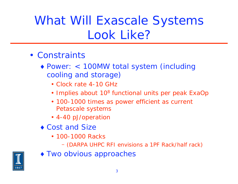What Will Exascale Systems Look Like?

- Constraints
	- Power: < 100MW total system (including cooling and storage)
		- Clock rate 4-10 GHz
		- Implies about 10<sup>8</sup> functional units per peak ExaOp
		- 100-1000 times as power efficient as current Petascale systems
		- 4-40 pJ/operation
	- ◆ Cost and Size
		- 100-1000 Racks
			- (DARPA UHPC RFI envisions a 1PF Rack/half rack)
	- Two obvious approaches

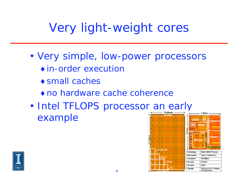## Very light-weight cores

- $\overline{\phantom{a}}$ • Very simple, low-power processors in-order execution
	- small caches
	- no hardware cache coherence
- •• Intel TFLOPS processor an early example



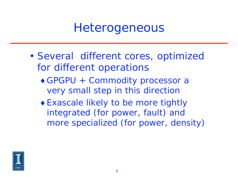#### **Heterogeneous**

- $\overline{\phantom{a}}$  Several different cores, optimized for different operations
	- GPGPU + Commodity processor a *very* small step in this direction
	- Exascale likely to be more tightly integrated (for power, fault) and more specialized (for power, density)

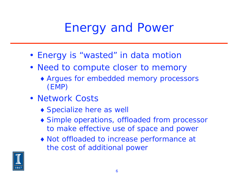### Energy and Power

- Energy is "wasted" in data motion
- Need to compute closer to memory
	- Argues for embedded memory processors (EMP)
- Network Costs
	- ◆ Specialize here as well
	- Simple operations, offloaded from processor to make effective use of space and power
	- Not offloaded to increase performance at the cost of additional power

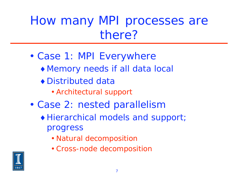## How many MPI processes are there?

- $\overline{\phantom{a}}$  Case 1: MPI Everywhere
	- Memory needs if all data local
	- Distributed data
		- Architectural support
- $\epsilon$  Case 2: nested parallelism
	- Hierarchical models and support; progress
		- Natural decomposition
		- Cross-node decomposition

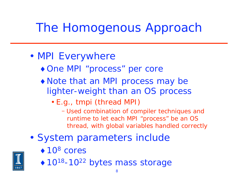## The Homogenous Approach

- $\overline{\phantom{a}}$ • MPI Everywhere
	- One MPI "process" per core
	- Note that an MPI process may be lighter-weight than an OS process
		- E.g., tmpi (thread MPI)
			- Used combination of compiler techniques and runtime to let each MPI "process" be an OS thread, with global variables handled correctly
- •• System parameters include
	- $\triangle$  10<sup>8</sup> cores
	- ◆ 10<sup>18</sup>-10<sup>22</sup> bytes mass storage

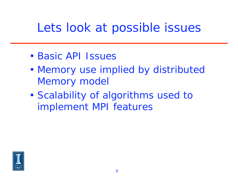#### Lets look at possible issues

- Basic API Issues
- • Memory use implied by distributed Memory model
- $\epsilon$ • Scalability of algorithms used to implement MPI features

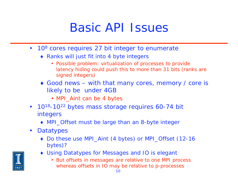#### Basic API Issues

- 10<sup>8</sup> cores requires 27 bit integer to enumerate
	- ◆ Ranks will just fit into 4 byte integers
		- Possible problem: virtualization of processes to provide latency hiding could push this to more than 31 bits (ranks are signed integers)
	- ◆ Good news with that many cores, memory / core is likely to be under 4GB
		- MPI\_Aint can be 4 bytes
- 10<sup>18</sup>-10<sup>22</sup> bytes mass storage requires 60-74 bit integers
	- MPI\_Offset must be large than an 8-byte integer
- $\bullet$ **Datatypes** 
	- ◆ Do these use MPI\_Aint (4 bytes) or MPI\_Offset (12-16 bytes)?
	- Using Datatypes for Messages and IO is elegant
		- But offsets in messages are relative to one MPI process whereas offsets in IO may be relative to p-processes

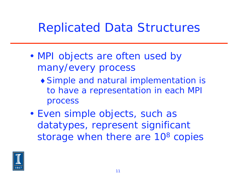#### Replicated Data Structures

- $\overline{\phantom{a}}$ • MPI objects are often used by many/every process
	- Simple and natural implementation is to have a representation in each MPI process
- $\epsilon$  Even simple objects, such as datatypes, represent significant storage when there are 10<sup>8</sup> copies

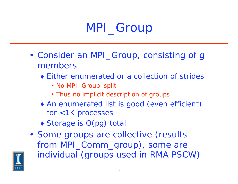## MPI\_Group

- Consider an MPI\_Group, consisting of g members
	- Either enumerated or a collection of strides
		- No MPI\_Group\_split
		- Thus no implicit description of groups
	- An enumerated list is good (even efficient) for <1K processes
	- ◆ Storage is O(pg) total
- •• Some groups are collective (results from MPI\_Comm\_group), some are individual (groups used in RMA PSCW)

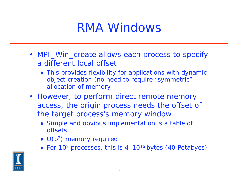#### RMA Windows

- MPI\_Win\_create allows each process to specify a different local offset
	- This provides flexibility for applications with dynamic object creation (no need to require "symmetric" allocation of memory
- However, to perform direct remote memory access, the origin process needs the offset of the target process's memory window
	- Simple and obvious implementation is a table of offsets
	- $\bullet$  O(p<sup>2</sup>) memory required
	- $\bullet$  For 10<sup>8</sup> processes, this is  $4*10^{16}$  bytes (40 Petabyes)

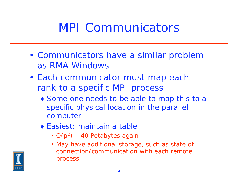## MPI Communicators

- Communicators have a similar problem as RMA Windows
- Each communicator must map each rank to a specific MPI process
	- ◆ Some one needs to be able to map this to a specific physical location in the parallel computer
	- Easiest: maintain a table
		- $O(p^2)$  40 Petabytes again
		- May have additional storage, such as state of connection/communication with each remote process

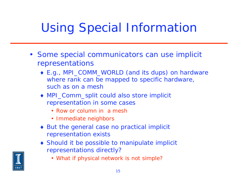## Using Special Information

- Some special communicators can use implicit representations
	- E.g., MPI\_COMM\_WORLD (and its dups) on hardware where rank can be mapped to specific hardware, such as on a mesh
	- MPI\_Comm\_split could also store implicit representation in some cases
		- Row or column in a mesh
		- Immediate neighbors
	- ◆ But the general case no practical implicit representation exists
	- Should it be possible to manipulate implicit representations directly?
		- What if physical network is not simple?

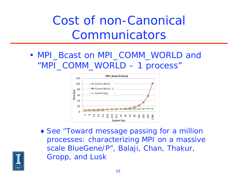Cost of non-Canonical Communicators

• MPI\_Bcast on MPI\_COMM\_WORLD and "MPI\_COMM\_WORLD – 1 process"



◆ See "Toward message passing for a million processes: characterizing MPI on a massive scale BlueGene/P", Balaji, Chan, Thakur, Gropp, and Lusk

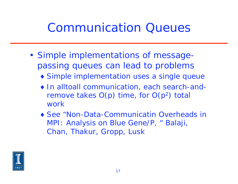#### Communication Queues

- Simple implementations of messagepassing queues can lead to problems
	- Simple implementation uses a single queue
	- In alltoall communication, each search-andremove takes  $O(p)$  time, for  $O(p^2)$  total work
	- See "Non-Data-Communicatin Overheads in MPI: Analysis on Blue Gene/P, " Balaji, Chan, Thakur, Gropp, Lusk

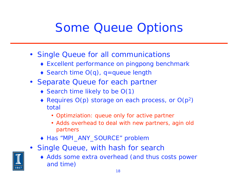### Some Queue Options

- Single Queue for all communications
	- Excellent performance on pingpong benchmark
	- Search time  $O(q)$ , q=queue length
- Separate Queue for each partner
	- $\triangleleft$  Search time likely to be  $O(1)$
	- Requires  $O(p)$  storage on each process, or  $O(p^2)$ total
		- Optimziation: queue only for active partner
		- Adds overhead to deal with new partners, agin old partners
	- Has "MPI\_ANY\_SOURCE" problem
- Single Queue, with hash for search
	- Adds some extra overhead (and thus costs power and time)

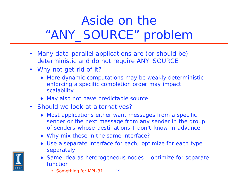# Aside on the "ANY\_SOURCE" problem

- $\bullet$  Many data-parallel applications are (or should be) deterministic and do not *require* ANY\_SOURCE
- Why not get rid of it?
	- More dynamic computations may be weakly deterministic enforcing a specific completion order may impact scalability
	- May also not have predictable source
- • Should we look at alternatives?
	- Most applications *either* w*<sup>a</sup>*nt messages from a specific sender *or* the next message from any sender in the group of senders-whose-destinations-I-don't-know-in-advance
	- Why mix these in the same interface?
	- Use a separate interface for each; optimize for each type separately
	- Same idea as heterogeneous nodes optimize for separate function
		- 19 • Something for MPI-3?

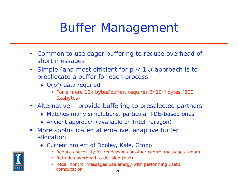#### Buffer Management

- $\bullet$  Common to use eager buffering to reduce overhead of short messages
- $\bullet$ Simple (and most efficient for  $p < 1k$ ) approach is to preallocate a buffer for each process
	- $\bullet$  O(p<sup>2</sup>) data required
		- For a mere 16k bytes/buffer, requires 2\*10<sup>20</sup> bytes (200 Exabytes)
- Alternative provide buffering to preselected partners
	- Matches many simulations, particular PDE-based ones
	- Ancient approach (available on Intel Paragon)
- $\bullet$  More sophisticated alternative, adaptive buffer allocation
	- Current project of Dooley, Kale, Gropp
		- Reduces necessity for rendezvous or other control messages (good)
		- But adds overhead to decision (bad)
		- 20 • Recall control messages use energy with performing useful computation

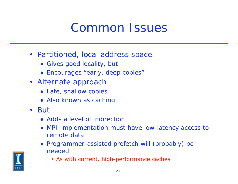#### Common Issues

- Partitioned, local address space
	- Gives good locality, but
	- Encourages "early, deep copies"
- Alternate approach
	- Late, shallow copies
	- ◆ Also known as caching
- But
	- Adds a level of indirection
	- MPI Implementation must have low-latency access to remote data
	- Programmer-assisted prefetch will (probably) be needed
		- As with current, high-performance caches

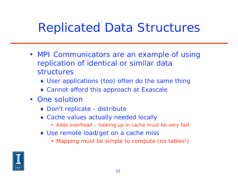#### Replicated Data Structures

- MPI Communicators are an example of using replication of identical or similar data structures
	- User applications (too) often do the same thing
	- Cannot afford this approach at Exascale
- One solution
	- ◆ Don't replicate distribute
	- Cache values actually needed locally
		- Adds overhead looking up in cache must be very fast
	- ◆ Use remote load/get on a cache miss
		- Mapping must be simple to compute (no tables!)

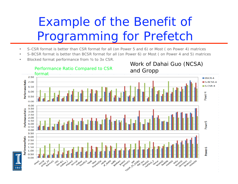## Example of the Benefit of Programming for Prefetch

- •S-CSR format is better than CSR format for all (on Power 5 and 6) or Most ( on Power 4) matrices
- •S-BCSR format is better than BCSR format for all (on Power 6) or Most ( on Power 4 and 5) matrices
- •• Blocked format performance from 1/2 to 3x CSR.

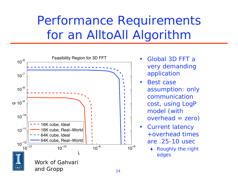## Performance Requirements for an AlltoAll Algorithm



- • Global 3D FFT a very demanding application
- • Best case assumption: only communication cost, using LogP model (with overhead = zero)
- • Current latency +overhead times are .25-10 usec
	- Roughly the right edges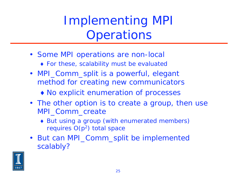Implementing MPI **Operations** 

- Some MPI operations are non-local
	- For these, scalability must be evaluated
- MPI\_Comm\_split is a powerful, elegant method for creating new communicators
	- No explicit enumeration of processes
- The other option is to create a group, then use MPI\_Comm\_create
	- But using a group (with enumerated members) requires  $O(p^2)$  total space
- But can MPI\_Comm\_split be implemented scalably?

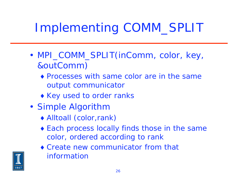## Implementing COMM\_SPLIT

- •• MPI\_COMM\_SPLIT(inComm, color, key, &outComm)
	- Processes with same color are in the same output communicator
	- ◆ Key used to order ranks
- Simple Algorithm
	- Alltoall (color,rank)
	- Each process locally finds those in the same color, ordered according to rank
	- Create new communicator from that information

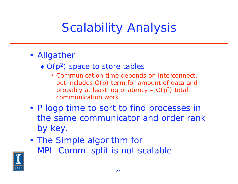## Scalability Analysis

- Allgather
	- $\bullet$  O(p<sup>2</sup>) space to store tables
		- Communication time depends on interconnect, but includes O(p) term for amount of data and probably at least log p latency  $- O(p^2)$  total communication work
- P logp time to sort to find processes in the same communicator and order rank by key.
- The Simple algorithm for MPI\_Comm\_split is not scalable

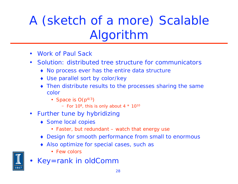# A (sketch of a more) Scalable Algorithm

- $\bullet$ Work of Paul Sack
- $\bullet$  Solution: distributed tree structure for communicators
	- No process ever has the entire data structure
	- Use parallel sort by color/key
	- Then distribute results to the processes sharing the same color
		- Space is  $O(p^{4/3})$ 
			- For 10 $^{\rm 8}$ , this is only about 4  $^{\star}$  10 $^{\rm 10}$
- $\bullet$  Further tune by hybridizing
	- ◆ Some local copies
		- Faster, but redundant watch that energy use
	- Design for smooth performance from small to enormous
	- Also optimize for special cases, such as
		- Few colors
- Key=rank in oldComm

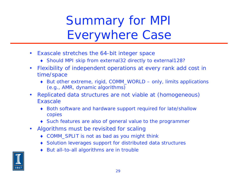## Summary for MPI Everywhere Case

- $\bullet$  Exascale stretches the 64-bit integer space
	- Should MPI skip from external32 directly to external128?
- $\bullet$  Flexibility of independent operations at every rank add cost in time/space
	- ◆ But other extreme, rigid, COMM\_WORLD only, limits applications (e.g., AMR, dynamic algorithms)
- $\bullet$  Replicated data structures are not viable at (homogeneous) Exascale
	- Both software and hardware support required for late/shallow copies
	- Such features are also of general value to the programmer
- $\bullet$  Algorithms must be revisited for scaling
	- COMM\_SPLIT is not as bad as you might think
	- Solution leverages support for distributed data structures
	- But all-to-all algorithms are in trouble

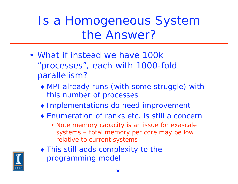Is a Homogeneous System the Answer?

- What if instead we have 100k "processes", each with 1000-fold parallelism?
	- MPI already runs (with some struggle) with this number of processes
	- Implementations do need improvement
	- Enumeration of ranks etc. is still a concern
		- Note memory capacity is an issue for exascale systems – total memory per core may be low relative to current systems



 This still adds complexity to the programming model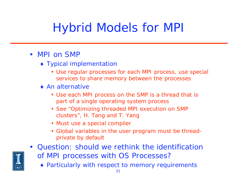## Hybrid Models for MPI

- MPI on SMP
	- Typical implementation
		- Use regular processes for each MPI process, use special services to share memory between the processes
	- ◆ An alternative
		- Use each MPI process on the SMP is a thread that is part of a single operating system process
		- See "Optimizing threaded MPI execution on SMP clusters", H. Tang and T. Yang
		- Must use a special compiler
		- Global variables in the user program must be threadprivate by default
- Question: should we rethink the identification of MPI processes with OS Processes?
	- Particularly with respect to memory requirements

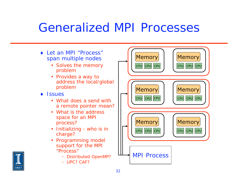#### Generalized MPI Processes

- ◆ Let an MPI "Process" span multiple nodes
	- Solves the memory problem
	- Provides a way to address the local/global problem
- ◆ Issues
	- What does a send with a remote pointer mean?
	- What is the address space for an MPI process?
	- Initializing who is in charge?
	- Programming model support for the MPI "Process"
		- Distributed OpenMP?
		- UPC? CAF?



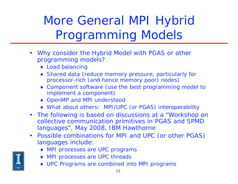# More General MPI Hybrid Programming Models

- Why consider the Hybrid Model with PGAS or other programming models?
	- ◆ Load balancing
	- Shared data (reduce memory pressure, particularly for processor-rich (and hence memory poor) nodes)
	- Component software (use the best programming model to implement a component)
	- ◆ OpenMP and MPI understood
	- What about others: MPI/UPC (or PGAS) interoperability
- The following is based on discussions at a "Workshop on collective communication primitives in PGAS and SPMD languages", May 2008, IBM Hawthorne
- Possible combinations for MPI and UPC (or other PGAS) languages include:
	- MPI processes are UPC programs
	- MPI processes are UPC threads
	- UPC Programs are combined into MPI programs

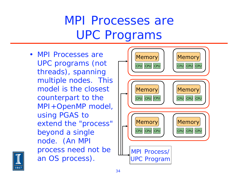## MPI Processes are UPC Programs

• MPI Processes are UPC programs (not threads), spanning multiple nodes. This model is the closest counterpart to the MPI+OpenMP model, using PGAS to extend the "process" beyond a single node. (An MPI process need not be an OS process).



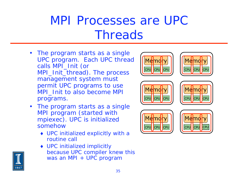## MPI Processes are UPC **Threads**

- The program starts as a single UPC program. Each UPC thread calls MPI\_Init (or MPI\_Init\_thread). The process management system must permit UPC programs to use MPI\_Init to also become MPI programs.
- The program starts as a single MPI program (started with mpiexec). UPC is initialized somehow
	- UPC initialized explicitly with a routine call
	- UPC initialized implicitly because UPC compiler knew this was an MPI + UPC program













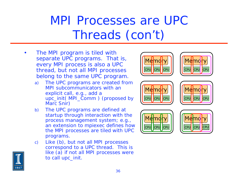## MPI Processes are UPC Threads (con't)

- • The MPI program is tiled with separate UPC programs. That is, every MPI process is also a UPC thread, but not all MPI processes belong to the same UPC program.
	- a) The UPC programs are created from MPI subcommunicators with an explicit call, e.g., add a upc\_init( MPI\_Comm ) (proposed by Marc Snir)
	- b) The UPC programs are defined at startup through interaction with the process management system; e.g., an extension to mpiexec defines how the MPI processes are tiled with UPC programs.
	- c) Like (b), but not all MPI processes correspond to a UPC thread. This is like (a) if not all MPI processes were to call upc\_init.













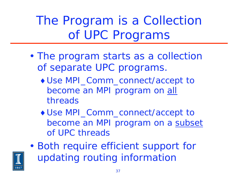The Program is a Collection of UPC Programs

- $\overline{\phantom{a}}$ • The program starts as a collection of separate UPC programs.
	- Use MPI\_Comm\_connect/accept to become an MPI program on all threads
	- Use MPI\_Comm\_connect/accept to become an MPI program on a subset of UPC threads
- $\epsilon$  Both require efficient support for updating routing information

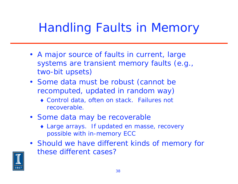## Handling Faults in Memory

- A major source of faults in current, large systems are transient memory faults (e.g., two-bit upsets)
- Some data must be robust (cannot be recomputed, updated in random way)
	- Control data, often on stack. Failures not recoverable.
- Some data may be recoverable
	- Large arrays. If updated en masse, recovery possible with in-memory ECC
- Should we have different kinds of memory for these different cases?

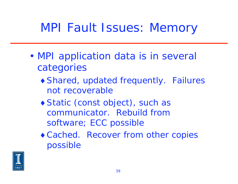## MPI Fault Issues: Memory

- $\overline{\phantom{a}}$ • MPI application data is in several categories
	- Shared, updated frequently. Failures not recoverable
	- ◆ Static (const object), such as communicator. Rebuild from software; ECC possible
	- Cached. Recover from other copies possible

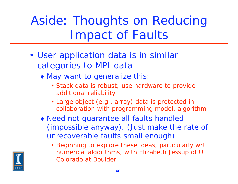Aside: Thoughts on Reducing Impact of Faults

- User application data is in similar categories to MPI data
	- May want to generalize this:
		- Stack data is robust; use hardware to provide additional reliability
		- Large object (e.g., array) data is protected in collaboration with programming model, algorithm
	- Need not guarantee all faults handled (impossible anyway). (Just make the rate of unrecoverable faults small enough)
		- Beginning to explore these ideas, particularly wrt numerical algorithms, with Elizabeth Jessup of U Colorado at Boulder